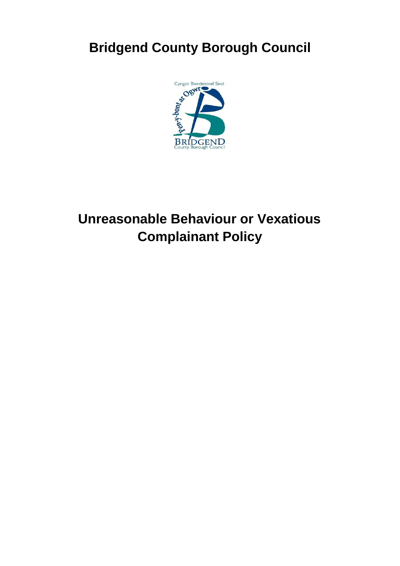# **Bridgend County Borough Council**



# **Unreasonable Behaviour or Vexatious Complainant Policy**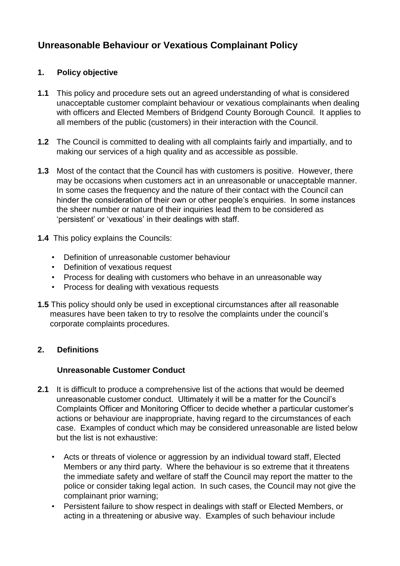# **Unreasonable Behaviour or Vexatious Complainant Policy**

# **1. Policy objective**

- **1.1** This policy and procedure sets out an agreed understanding of what is considered unacceptable customer complaint behaviour or vexatious complainants when dealing with officers and Elected Members of Bridgend County Borough Council. It applies to all members of the public (customers) in their interaction with the Council.
- **1.2** The Council is committed to dealing with all complaints fairly and impartially, and to making our services of a high quality and as accessible as possible.
- **1.3** Most of the contact that the Council has with customers is positive. However, there may be occasions when customers act in an unreasonable or unacceptable manner. In some cases the frequency and the nature of their contact with the Council can hinder the consideration of their own or other people's enquiries. In some instances the sheer number or nature of their inquiries lead them to be considered as 'persistent' or 'vexatious' in their dealings with staff.
- **1.4** This policy explains the Councils:
	- Definition of unreasonable customer behaviour
	- Definition of vexatious request
	- Process for dealing with customers who behave in an unreasonable way
	- Process for dealing with vexatious requests
- **1.5** This policy should only be used in exceptional circumstances after all reasonable measures have been taken to try to resolve the complaints under the council's corporate complaints procedures.

# **2. Definitions**

#### **Unreasonable Customer Conduct**

- **2.1** It is difficult to produce a comprehensive list of the actions that would be deemed unreasonable customer conduct. Ultimately it will be a matter for the Council's Complaints Officer and Monitoring Officer to decide whether a particular customer's actions or behaviour are inappropriate, having regard to the circumstances of each case. Examples of conduct which may be considered unreasonable are listed below but the list is not exhaustive:
	- Acts or threats of violence or aggression by an individual toward staff, Elected Members or any third party. Where the behaviour is so extreme that it threatens the immediate safety and welfare of staff the Council may report the matter to the police or consider taking legal action. In such cases, the Council may not give the complainant prior warning;
	- Persistent failure to show respect in dealings with staff or Elected Members, or acting in a threatening or abusive way. Examples of such behaviour include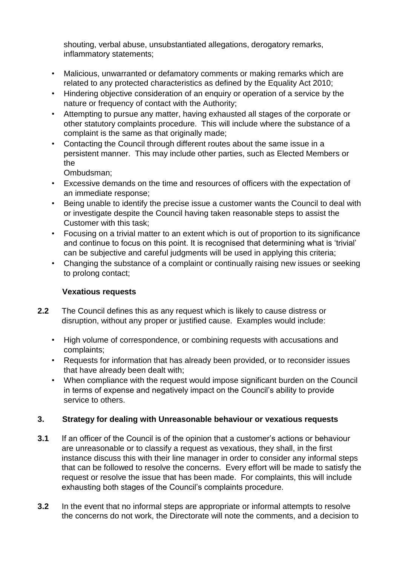shouting, verbal abuse, unsubstantiated allegations, derogatory remarks, inflammatory statements;

- Malicious, unwarranted or defamatory comments or making remarks which are related to any protected characteristics as defined by the Equality Act 2010;
- Hindering objective consideration of an enquiry or operation of a service by the nature or frequency of contact with the Authority;
- Attempting to pursue any matter, having exhausted all stages of the corporate or other statutory complaints procedure. This will include where the substance of a complaint is the same as that originally made;
- Contacting the Council through different routes about the same issue in a persistent manner. This may include other parties, such as Elected Members or the

Ombudsman;

- Excessive demands on the time and resources of officers with the expectation of an immediate response;
- Being unable to identify the precise issue a customer wants the Council to deal with or investigate despite the Council having taken reasonable steps to assist the Customer with this task;
- Focusing on a trivial matter to an extent which is out of proportion to its significance and continue to focus on this point. It is recognised that determining what is 'trivial' can be subjective and careful judgments will be used in applying this criteria;
- Changing the substance of a complaint or continually raising new issues or seeking to prolong contact;

# **Vexatious requests**

- **2.2** The Council defines this as any request which is likely to cause distress or disruption, without any proper or justified cause. Examples would include:
	- High volume of correspondence, or combining requests with accusations and complaints;
	- Requests for information that has already been provided, or to reconsider issues that have already been dealt with;
	- When compliance with the request would impose significant burden on the Council in terms of expense and negatively impact on the Council's ability to provide service to others.

#### **3. Strategy for dealing with Unreasonable behaviour or vexatious requests**

- **3.1** If an officer of the Council is of the opinion that a customer's actions or behaviour are unreasonable or to classify a request as vexatious, they shall, in the first instance discuss this with their line manager in order to consider any informal steps that can be followed to resolve the concerns. Every effort will be made to satisfy the request or resolve the issue that has been made. For complaints, this will include exhausting both stages of the Council's complaints procedure.
- **3.2** In the event that no informal steps are appropriate or informal attempts to resolve the concerns do not work, the Directorate will note the comments, and a decision to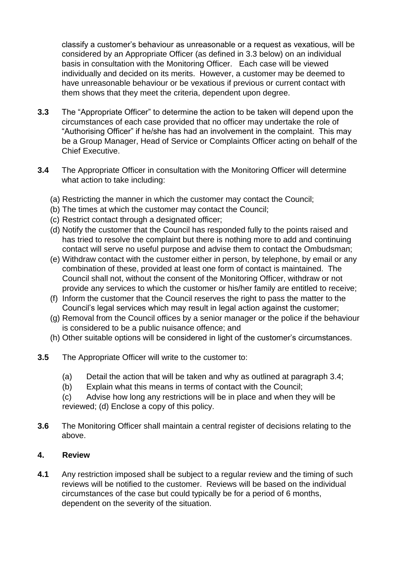classify a customer's behaviour as unreasonable or a request as vexatious, will be considered by an Appropriate Officer (as defined in 3.3 below) on an individual basis in consultation with the Monitoring Officer. Each case will be viewed individually and decided on its merits. However, a customer may be deemed to have unreasonable behaviour or be vexatious if previous or current contact with them shows that they meet the criteria, dependent upon degree.

- **3.3** The "Appropriate Officer" to determine the action to be taken will depend upon the circumstances of each case provided that no officer may undertake the role of "Authorising Officer" if he/she has had an involvement in the complaint. This may be a Group Manager, Head of Service or Complaints Officer acting on behalf of the Chief Executive.
- **3.4** The Appropriate Officer in consultation with the Monitoring Officer will determine what action to take including:
	- (a) Restricting the manner in which the customer may contact the Council;
	- (b) The times at which the customer may contact the Council;
	- (c) Restrict contact through a designated officer;
	- (d) Notify the customer that the Council has responded fully to the points raised and has tried to resolve the complaint but there is nothing more to add and continuing contact will serve no useful purpose and advise them to contact the Ombudsman;
	- (e) Withdraw contact with the customer either in person, by telephone, by email or any combination of these, provided at least one form of contact is maintained. The Council shall not, without the consent of the Monitoring Officer, withdraw or not provide any services to which the customer or his/her family are entitled to receive;
	- (f) Inform the customer that the Council reserves the right to pass the matter to the Council's legal services which may result in legal action against the customer;
	- (g) Removal from the Council offices by a senior manager or the police if the behaviour is considered to be a public nuisance offence; and
	- (h) Other suitable options will be considered in light of the customer's circumstances.
- **3.5** The Appropriate Officer will write to the customer to:
	- (a) Detail the action that will be taken and why as outlined at paragraph 3.4;
	- (b) Explain what this means in terms of contact with the Council;
	- (c) Advise how long any restrictions will be in place and when they will be reviewed; (d) Enclose a copy of this policy.
- **3.6** The Monitoring Officer shall maintain a central register of decisions relating to the above.

#### **4. Review**

**4.1** Any restriction imposed shall be subject to a regular review and the timing of such reviews will be notified to the customer. Reviews will be based on the individual circumstances of the case but could typically be for a period of 6 months, dependent on the severity of the situation.